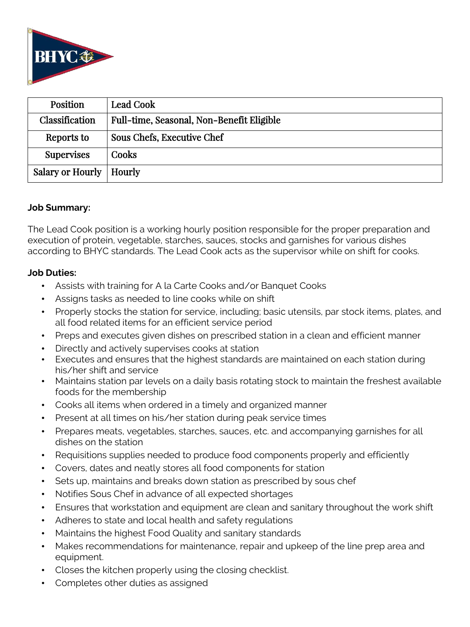

| <b>Position</b>           | <b>Lead Cook</b>                          |
|---------------------------|-------------------------------------------|
| Classification            | Full-time, Seasonal, Non-Benefit Eligible |
| Reports to                | Sous Chefs, Executive Chef                |
| <b>Supervises</b>         | Cooks                                     |
| Salary or Hourly   Hourly |                                           |

### **Job Summary:**

The Lead Cook position is a working hourly position responsible for the proper preparation and execution of protein, vegetable, starches, sauces, stocks and garnishes for various dishes according to BHYC standards. The Lead Cook acts as the supervisor while on shift for cooks.

### **Job Duties:**

- Assists with training for A la Carte Cooks and/or Banquet Cooks
- Assigns tasks as needed to line cooks while on shift
- Properly stocks the station for service, including; basic utensils, par stock items, plates, and all food related items for an efficient service period
- Preps and executes given dishes on prescribed station in a clean and efficient manner
- Directly and actively supervises cooks at station
- Executes and ensures that the highest standards are maintained on each station during his/her shift and service
- Maintains station par levels on a daily basis rotating stock to maintain the freshest available foods for the membership
- Cooks all items when ordered in a timely and organized manner
- Present at all times on his/her station during peak service times
- Prepares meats, vegetables, starches, sauces, etc. and accompanying garnishes for all dishes on the station
- Requisitions supplies needed to produce food components properly and efficiently
- Covers, dates and neatly stores all food components for station
- Sets up, maintains and breaks down station as prescribed by sous chef
- Notifies Sous Chef in advance of all expected shortages
- Ensures that workstation and equipment are clean and sanitary throughout the work shift
- Adheres to state and local health and safety regulations
- Maintains the highest Food Quality and sanitary standards
- Makes recommendations for maintenance, repair and upkeep of the line prep area and equipment.
- Closes the kitchen properly using the closing checklist.
- Completes other duties as assigned